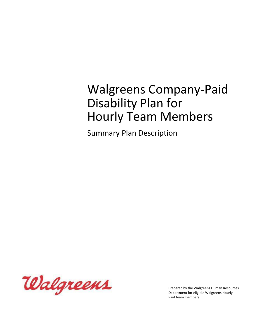# Walgreens Company-Paid Disability Plan for Hourly Team Members

Summary Plan Description



Prepared by the Walgreens Human Resources Department for eligible Walgreens Hourly-Paid team members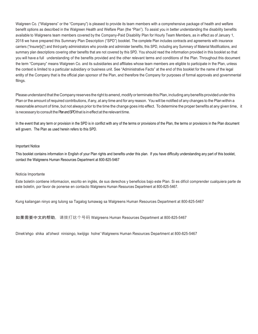Walgreen Co. ("Walgreens" or the "Company") is pleased to provide its team members with a comprehensive package of health and welfare benefit options as described in the Walgreen Health and Welfare Plan (the "Plan"). To assist you in better understanding the disability benefits available to Walgreens team members covered by the Company-Paid Disability Plan for Hourly Team Members, as in effect as of January 1, 2018 we have prepared this Summary Plan Description ("SPD") booklet. The complete Plan includes contracts and agreements with insurance carriers ("Insurer[s]") and third-party administrators who provide and administer benefits, this SPD, including any Summary of Material Modifications, and summary plan descriptions covering other benefits that are not covered by this SPD. You should read the information provided in this booklet so that you will have a full understanding of the benefits provided and the other relevant terms and conditions of the Plan. Throughout this document the term "Company" means Walgreen Co. and its subsidiaries and affiliates whose team members are eligible to participate in the Plan, unless the context is limited to a particular subsidiary or business unit. See "Administrative Facts" at the end of this booklet for the name of the legal entity of the Company that is the official plan sponsor of the Plan, and therefore the Company for purposes of formal approvals and governmental filings.

Please understand that the Company reserves the right to amend, modify or terminate this Plan, including any benefits provided under this Plan or the amount of required contributions, if any, at any time and for any reason. Youwill be notified of any changes to the Planwithin a reasonable amount of time, but not always prior to the time the change goes into effect. To determine the proper benefits at any given time, it is necessary to consult the Plan and SPD that is in effect at the relevant time.

In the event that any term or provision in the SPD is in conflict with any of the terms or provisions of the Plan, the terms or provisions in the Plan document will govern. The Plan as used herein refers to this SPD.

#### Important Notice

This booklet contains information in English of your Plan rights and benefits under this plan. If you have difficulty understanding any part of this booklet, contact the Walgreens Human Resources Department at 800-825-5467

#### Noticia Importante

Este boletín contiene informacion, escrito en inglés, de sus derechos y beneficios bajo este Plan. Si es difícil comprender cualquiera parte de este boletín, por favor de ponerse en contacto Walgreens Human Resources Department at 800-825-5467.

Kung kailangan ninyo ang tulong sa Tagalog tumawag sa Walgreens Human Resources Department at 800-825-5467

如果需要中文的帮助,请拨打这个号码 Walgreens Human Resources Department at 800-825-5467

Dinek'ehgo shika at'ohwol ninisingo, kwiijigo holne' Walgreens Human Resources Department at 800-825-5467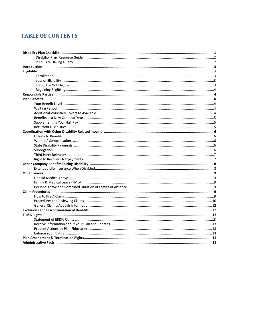## **TABLE OF CONTENTS**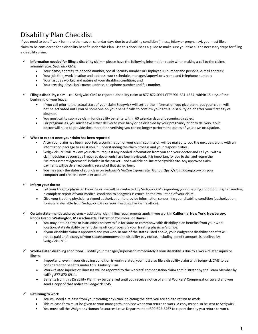## Disability Plan Checklist

If you need to be off work for more than seven calendar days due to a disabling condition (illness, injury or pregnancy), you must file a claim to be considered for a disability benefit under this Plan. Use this checklist as a guide to make sure you take all the necessary steps for filing a disability claim.

- **Information needed for filing a disability claim**  please have the following information ready when making a call to the claims administrator, Sedgwick CMS:
	- Your name, address, telephone number, Social Security number or Employee ID number and personal e-mail address;
	- Your job title, work location and address, work schedule, manager/supervisor's name and telephone number;
	- Your last day worked and nature of your disabling condition; and
	- Your treating physician's name, address, telephone number and fax number.
- **Filing a disability claim**  call Sedgwick CMS to report a disability claim at 877-872-0911 (TTY 901-531-4554) within 15 days of the beginning of your leave.
	- If you call prior to the actual start of your claim Sedgwick will set-up the information you give them, but your claim will not be activated until you or someone on your behalf calls to confirm your actual disability on or after your first day of absence.
	- You must call to submit a claim for disability benefits within 60 calendar days of becoming disabled.
	- For pregnancies, you must have either delivered your baby or be disabled by your pregnancy prior to delivery. Your doctor will need to provide documentation verifying you can no longer perform the duties of your own occupation.

#### **What to expect once your claim has been reported**

- After your claim has been reported, a confirmation of your claim submission will be mailed to you the next day, along with an information package to assist you in understanding the claim process and your responsibilities.
- Sedgwick CMS will review your claim, request any needed information from you and your doctor and call you with a claim decision as soon as all required documents have been reviewed. It is important for you to sign and return the "Reimbursement Agreement" included in the packet – and available on-line at Sedgwick's site. Any approved claim payments will be deferred pending receipt of that signed form.
- You may track the status of your claim on Sedgwick's ViaOne Express site. Go to *https://claimlookup.com* on your computer and create a new user account.

#### **Inform your doctor**

- Let your treating physician know he or she will be contacted by Sedgwick CMS regarding your disabling condition. His/her sending a complete report of your medical condition to Sedgwick is critical to the evaluation of your claim.
- Give your treating physician a signed authorization to provide information concerning your disabling condition (authorization forms are available from Sedgwick CMS or your treating physician's office).
- **Certain state-mandated programs**  additional claim filing requirements apply if you work in **California, New York, New Jersey, Rhode Island, Washington, Massachusetts, District of Columbia, or Hawaii.**
	- You may obtain forms or instructions on how to file for state or commonwealth disability plan benefits from your work location, state disability benefit claims office or possibly your treating physician's office.
	- If your disability claim is approved and you work in one of the states listed above, your Walgreens disability benefits will not be paid until a copy of your state/commonwealth disability pay notice, including benefit amount, is received by Sedgwick CMS.
	- **Work-related disabling conditions**  notify your manager/supervisor immediately if your disability is due to a work-related injury or illness.
		- **Important**: even if your disabling condition is work-related, you must also file a disability claim with Sedgwick CMS to be considered for benefits under this Disability Plan.
		- Work-related injuries or illnesses will be reported to the workers' compensation claim administrator by the Team Member by calling 877-872-0911.
		- Benefits from this Disability Plan may be deferred until you receive notice of a final Workers' Compensation award and you send a copy of that notice to Sedgwick CMS.

#### **Returning to work**

- You will need a release from your treating physician indicating the date you are able to return to work.
- This release form must be given to your manager/supervisor when you return to work. A copy must also be sent to Sedgwick.
- You must call the Walgreens Human Resources Leave Department at 800-825-5467 to report the day you return to work.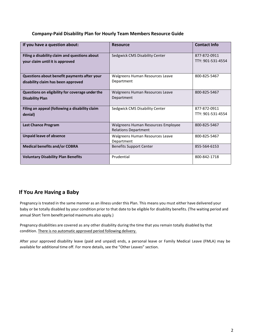#### **Company-Paid Disability Plan for Hourly Team Members Resource Guide**

| If you have a question about:                                                     | <b>Resource</b>                                                   | <b>Contact Info</b>               |
|-----------------------------------------------------------------------------------|-------------------------------------------------------------------|-----------------------------------|
| Filing a disability claim and questions about<br>your claim until it is approved  | Sedgwick CMS Disability Center                                    | 877-872-0911<br>TTY: 901-531-4554 |
| Questions about benefit payments after your<br>disability claim has been approved | Walgreens Human Resources Leave<br>Department                     | 800-825-5467                      |
| Questions on eligibility for coverage under the<br><b>Disability Plan</b>         | Walgreens Human Resources Leave<br>Department                     | 800-825-5467                      |
| Filing an appeal (following a disability claim<br>denial)                         | Sedgwick CMS Disability Center                                    | 877-872-0911<br>TTY: 901-531-4554 |
| <b>Last Chance Program</b>                                                        | Walgreens Human Resources Employee<br><b>Relations Department</b> | 800-825-5467                      |
| <b>Unpaid leave of absence</b>                                                    | Walgreens Human Resources Leave<br>Department                     | 800-825-5467                      |
| <b>Medical benefits and/or COBRA</b>                                              | <b>Benefits Support Center</b>                                    | 855-564-6153                      |
| <b>Voluntary Disability Plan Benefits</b>                                         | Prudential                                                        | 800-842-1718                      |

### **If You Are Having a Baby**

Pregnancy is treated in the same manner as an illness under this Plan. This means you must either have delivered your baby or be totally disabled by your condition prior to that date to be eligible for disability benefits. (The waiting period and annual Short Term benefit period maximums also apply.)

Pregnancy disabilities are covered as any other disability during the time that you remain totally disabled by that condition. There is no automatic approved period following delivery.

After your approved disability leave (paid and unpaid) ends, a personal leave or Family Medical Leave (FMLA) may be available for additional time off. For more details, see the "Other Leaves" section.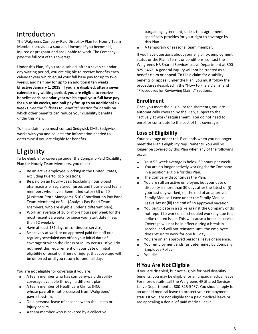## Introduction

The Walgreens Company-Paid Disability Plan for Hourly Team Members provides a source of income if you become ill, injured or pregnant and are unable to work. The Company pays the full cost of this coverage.

Under this Plan, if you are disabled, after a seven calendar day waiting period, you are eligible to receive benefits each calendar year which equal your full base pay for up to two weeks, and half pay for up to an additional ten weeks. **Effective January 1, 2019, if you are disabled, after a seven calendar day waiting period, you are eligible to receive benefits each calendar year which equal your full base pay for up to six weeks, and half pay for up to an additional six weeks.** See the "Offsets to Benefits" section for details on which other benefits can reduce your disability benefits under this Plan.

To file a claim, you must contact Sedgwick CMS. Sedgwick works with you and collects the information needed to determine if you are eligible for benefits.

## Eligibility

To be eligible for coverage under the Company-Paid Disability Plan for Hourly Team Members, you must:

- Be an active employee, working in the United States, excluding Puerto Rico locations;
- Be paid on an hourly-basis (excluding hourly-paid pharmacists or registered nurses and hourly-paid team members who have a Benefit Indicator (BI) of 20 (Assistant Store Managers), 510 (Coordination Pay Band Team Members) or 511 (Analysis Pay Band Team Members, who are eligible under a different plan);
- Work an average of 30 or more hours per week for the most recent 52 weeks (or since your start date if less than 52 weeks);
- Have at least 181 days of continuous service;
- Be actively at work or on approved paid time off or a regularly scheduled day off on your initial date of coverage or when the illness or injury occurs. If you do not meet this requirement on your date of initial eligibility or onset of illness or injury, that coverage will be deferred until you return for one full day.

You are not eligible for coverage if you are:

- A team member who has company-paid disability coverage available through a different plan.
- A team member of Healthcare Clinics (HCC) whose payroll is not processed from Walgreens' payroll system.
- On a personal leave of absence when the illness or injury occurs.
- A team member who is covered by a collective

bargaining agreement, unless that agreement specifically provides for your right to coverage by this Plan.

A temporary or seasonal team member.

If you have questions about your eligibility, employment status or the Plan's terms or conditions, contact the Walgreens HR Shared Services Leave Department at 800- 825-5467. A general inquiry will not be treated as a benefit claim or appeal. To file a claim for disability benefits or appeal under the Plan, you must follow the procedures described in the "How to File a Claim" and "Procedures for Reviewing Claims" sections.

### **Enrollment**

Once you meet the eligibility requirements, you are automatically covered by the Plan, subject to the "actively at work" requirement. You do not need to enroll or contribute to the cost of this coverage.

## **Loss of Eligibility**

Your coverage under this Plan ends when you no longer meet the Plan's eligibility requirements. You will no longer be covered by this Plan when any of the following occur:

- Your 52-week average is below 30 hours per week.
- You are no longer actively working for the Company in a position eligible for this Plan.
- The Company discontinues the Plan.
- You are still an active employee, but your date of disability is more than 30 days after the latest of (i) your last day worked, (ii) the end of an approved Family Medical Leave under the Family Medical Leave Act or (iii) the end of an approved vacation.
- You participate in a strike against the Company or do not report to work on a scheduled workday due to a strike related issue. This will cause a break in service. Coverage will not be in effect during a break in service, and will not reinstate until the employee does return to work for one full day.
- You are on an approved personal leave of absence.
- Your employment ends (as determined by Company Employee Policy).
- You die.

### **If You Are Not Eligible**

If you are disabled, but not eligible for paid disability benefits, you may be eligible for an unpaid medical leave. For more details, call the Walgreens HR Shared Services Leave Department at 800-825-5467. You should apply for an unpaid medical leave to protect your employment status if you are not eligible for a paid medical leave or are appealing a denial of paid medical leave.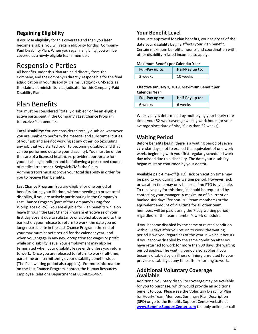## **Regaining Eligibility**

If you lose eligibility for this coverage and then you later become eligible, you will regain eligibility for this Company-Paid Disability Plan. When you regain eligibility, you will be covered as a newly eligible team member.

## <span id="page-6-0"></span>Responsible Parties

All benefits under this Plan are paid directly from the Company, and the Company is directly responsible for the final adjudication of your disability claims. Sedgwick CMS acts as the claims administrator/ adjudicator for this Company-Paid Disability Plan.

## Plan Benefits

You must be considered "totally disabled" or be an eligible active participant in the Company's Last Chance Program to receive Plan benefits.

**Total Disability:** You are considered totally disabled whenever you are unable to perform the material and substantial duties of your job and are not working at any other job (excluding any job that you started prior to becoming disabled and that can be performed despite your disability). You must be under the care of a licensed healthcare provider appropriate for your disabling condition and be following a prescribed course of medical treatment. Sedgwick CMS (the Claim Administrator) must approve your total disability in order for you to receive Plan benefits.

**Last Chance Program:** You are eligible for one period of benefits during your lifetime, without needing to prove total disability, if you are actively participating in the Company's Last Chance Program (part of the Company's Drug-free Workplace Policy). You are eligible for Plan benefits while on leave through the Last Chance Program effective as of your first day absent due to substance or alcohol abuse and to the earliest of: your release to return to work; the date you no longer participate in the Last Chance Program; the end of your maximum benefit period for the calendar year; and when you engage in any new occupation for wages or profit while on disability leave. Your employment may also be terminated when your disability leave ends unless you return to work. Once you are released to return to work (full-time, part- time or intermittently), your disability benefits stop. (The Plan waiting period also applies). For more information on the Last Chance Program, contact the Human Resources Employee Relations Department at 800-825-5467.

### **Your Benefit Level**

If you are approved for Plan benefits, your salary as of the date your disability begins affects your Plan benefit. Certain maximum benefit amounts and coordination with other disability-related income also apply.

#### **Maximum Benefit per Calendar Year**

| Full-Pay up to: | Half-Pay up to: |  |  |
|-----------------|-----------------|--|--|
| 2 weeks         | 10 weeks        |  |  |

#### **Effective January 1, 2019, Maximum Benefit per Calendar Year**

| Full-Pay up to: | Half-Pay up to: |  |  |
|-----------------|-----------------|--|--|
| 6 weeks         | 6 weeks         |  |  |

Weekly pay is determined by multiplying your hourly rate times your 52-week average weekly work hours (or your average since date of hire, if less than 52 weeks).

### **Waiting Period**

Before benefits begin, there is a waiting period of seven calendar days, not to exceed the equivalent of one work week, beginning with your first regularly scheduled work day missed due to a disability. The date your disability began must be confirmed by your doctor.

Available paid-time-off (PTO), sick or vacation time may be paid to you during this waiting period. However, sick or vacation time may only be used if no PTO is available. To receive pay for this time, it should be requested by contacting your manager. A maximum of 5 current or banked sick days (for non-PTO team members) or the equivalent amount of PTO time for all other team members will be paid during the 7-day waiting period, regardless of the team member's work schedule.

If you become disabled by the same or related condition within 30 days after you return to work, the waiting period is waived, regardless of the year in which it occurs. If you become disabled by the same condition after you have returned to work for more than 30 days, the waiting period applies. The waiting period also applies if you become disabled by an illness or injury unrelated to your previous disability at any time after returning to work.

#### **Additional Voluntary Coverage Available**

Additional voluntary disability coverage may be available for you to purchase, which would provide an additional benefit to you. Please see the Voluntary Disability Plan for Hourly Team Members Summary Plan Description (SPD) or go to the Benefits Support Center website at **[www.BenefitsSupportCenter.com](http://www.benefitssupportcenter.com/)** to apply online, or call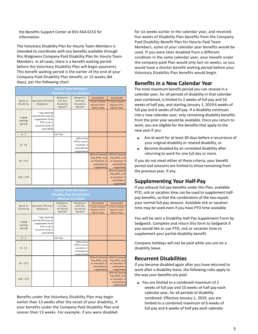the Benefits Support Center at 855-564-6153 for information.

The Voluntary Disability Plan for Hourly Team Members is intended to coordinate with any benefits available through this Walgreens Company-Paid Disability Plan for Hourly Team Members. In all cases, there is a benefit waiting period before the Voluntary Disability Plan will begin payments. This benefit waiting period is the earlier of the end of your Company-Paid Disability Plan benefit, or 13 weeks (84 days), per the following chart.

| <b>Hourly Team Members</b>         |                                                                                                            |                                   |                                                                            |                                                                                   |                                                                                   |
|------------------------------------|------------------------------------------------------------------------------------------------------------|-----------------------------------|----------------------------------------------------------------------------|-----------------------------------------------------------------------------------|-----------------------------------------------------------------------------------|
| <b>Disability Pay Coordination</b> |                                                                                                            |                                   |                                                                            |                                                                                   |                                                                                   |
|                                    |                                                                                                            | Walgreens                         | Walgreens                                                                  | <b>VOLUNTARY</b>                                                                  | <b>VOLUNTARY</b>                                                                  |
| Week of<br>Disability              | Available PTO from<br>Walgreens                                                                            | Full-Pay<br>Disability<br>Benefit | Half-Pay<br>Disability<br>Benefit                                          | 2-Year Income<br>Replace Plan<br><b>Option Pays</b>                               | 5-Year Income<br><b>Replace Plan</b><br><b>Option Pays</b>                        |
| 1 week<br>waiting<br>period        | 7 day waiting<br>period (Full pay to<br>supplement from<br>PTO, sick or<br>vacation time, if<br>available) |                                   |                                                                            |                                                                                   |                                                                                   |
| $2 - 7$                            |                                                                                                            | Full Pay                          |                                                                            |                                                                                   |                                                                                   |
| $8 - 13$                           |                                                                                                            |                                   | 50% of Pay<br>(PTO, sick or<br>vacation, if<br>available to<br>supplement) |                                                                                   |                                                                                   |
| $14 - 117$                         |                                                                                                            |                                   |                                                                            | 60% of Covered<br>Pay (PTO, sick<br>or vacation, if<br>available to<br>supplment) | 60% of Covered<br>Pay (PTO, sick<br>or vacation, if<br>available to<br>supplment) |
| $118 - 273$                        |                                                                                                            |                                   |                                                                            |                                                                                   | 60% of Covered<br>Pay (PTO, sick<br>or vacation, if<br>available to<br>supplment) |

| <b>Hourly Team Members</b>  |                                                                                                            |                                   |                                                                            |                                                                                   |                                                                                   |
|-----------------------------|------------------------------------------------------------------------------------------------------------|-----------------------------------|----------------------------------------------------------------------------|-----------------------------------------------------------------------------------|-----------------------------------------------------------------------------------|
|                             | <b>Disability Pay Coordination</b><br><b>Effective 1/1/2019</b>                                            |                                   |                                                                            |                                                                                   |                                                                                   |
|                             |                                                                                                            | Walgreens                         | Walgreens                                                                  | <b>VOLUNTARY</b>                                                                  | <b>VOLUNTARY</b>                                                                  |
| Week of<br>Disability       | Available PTO from<br>Walgreens                                                                            | Full-Pay<br>Disability<br>Benefit | Half-Pay<br>Disability<br>Benefit                                          | 2-Year Income<br>Replace Plan<br><b>Option Pays</b>                               | 5-Year Income<br>Replace Plan<br><b>Option Pays</b>                               |
| 1 week<br>waiting<br>period | 7 day waiting<br>period (Full pay to<br>supplement from<br>PTO, sick or<br>vacation time, if<br>available) |                                   |                                                                            |                                                                                   |                                                                                   |
| $2 - 7$                     |                                                                                                            | Full Pay                          |                                                                            |                                                                                   |                                                                                   |
| $8 - 13$                    |                                                                                                            |                                   | 50% of Pay<br>(PTO, sick or<br>vacation, if<br>available to<br>supplement) |                                                                                   |                                                                                   |
| $14 - 117$                  |                                                                                                            |                                   |                                                                            | 50% of Covered<br>Pay (PTO, sick<br>or vacation, if<br>available to<br>supplment) | 50% of Covered<br>Pay (PTO, sick<br>or vacation, if<br>available to<br>supplment) |
| $118 - 273$                 |                                                                                                            |                                   |                                                                            |                                                                                   | 50% of Covered<br>Pay (PTO, sick<br>or vacation, if<br>available to<br>supplment) |

Benefits under the Voluntary Disability Plan may begin earlier than 13 weeks after the onset of your disability, if your benefits under the Company-Paid Disability Plan end sooner than 13 weeks. For example, if you were disabled

for six weeks earlier in the calendar year, and received five weeks of Disability Plan benefits from the Company-Paid Disability Benefit Plan for Hourly-Paid Team Members, some of your calendar year benefits would be used. If you were later disabled from a different condition in the same calendar year, your benefit under the company-paid Plan would only last six weeks, so you would have a shorter benefit waiting period before your Voluntary Disability Plan benefits would begin.

### **Benefits in a New Calendar Year**

The total maximum benefit period you can receive in a calendar year, for all periods of disability in that calendar year combined, is limited to 2 weeks of full pay and 10 weeks of half pay, and starting January 1, 2019 6 weeks of full pay and 6 weeks of half pay. If a disability continues into a new calendar year, only remaining disability benefits from the prior year would be available. Once you return to work, you are eligible for the benefits that apply to the new year if you:

- Are at work for at least 30 days before a recurrence of your original disability or related disability, or
- Become disabled by an unrelated disability after returning to work for one full day or more.

If you do not meet either of these criteria, your benefit period and amounts are limited to those remaining from the previous year, if any.

### **Supplementing Your Half-Pay**

If you exhaust full pay benefits under this Plan, available PTO, sick or vacation time can be used to supplement halfpay benefits, so that the combination of the two equals your normal full-pay amount. Available sick or vacation time may be used even if you have PTO time available.

You will be sent a Disability Half Pay Supplement Form by Sedgwick. Complete and return this form to Sedgwick if you would like to use PTO, sick or vacation time to supplement your partial disability benefit.

Company holidays will not be paid while you are on a disability leave.

#### **Recurrent Disabilities**

If you become disabled again after you have returned to work after a disability leave, the following rules apply to the way your benefits are paid:

■ You are limited to a combined maximum of 2 weeks of full pay and 10 weeks of half pay each calendar year, for all periods of disability combined. Effective January 1, 2019, you are limited to a combined maximum of 6 weeks of full pay and 6 weeks of half pay each calendar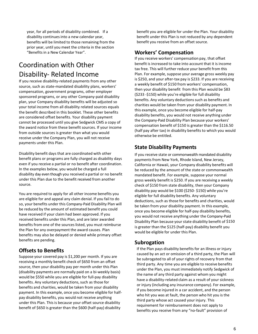year, for all periods of disability combined. If a disability continues into a new calendar year, benefits will be limited to those remaining from the prior year, until you meet the criteria in the section "Benefits in a New Calendar Year".

## Coordination with Other Disability- Related Income

If you receive disability-related payments from any other source, such as state-mandated disability plans, workers' compensation, government programs, other employer sponsored programs, or any other Company-paid disability plan, your Company disability benefits will be adjusted so your total income from all disability related sources equals the benefit described in this booklet. These other benefits are considered offset benefits. Your disability payment cannot be processed until you give Sedgwick CMS a copy of the award notice from these benefit sources. If your income from outside sources is greater than what you would receive under the Company Plan, you will not receive payments under this Plan.

Disability benefit days that are coordinated with other benefit plans or programs are fully charged as disability days even if you receive a partial or no benefit after coordination. In the examples below, you would be charged a full disability day even though you received a partial or no benefit under this Plan due to the benefit received from another source.

You are required to apply for all other income benefits you are eligible for and appeal any claim denial. If you fail to do so, your benefits under this Company-Paid Disability Plan will be reduced by the amount of estimated benefit you could have received if your claim had been approved. If you received benefits under this Plan, and are later awarded benefits from one of the sources listed, you must reimburse the Plan for any overpayment the award causes. Plan benefits may also be delayed or denied while primary offset benefits are pending.

### **Offsets to Benefits**

Suppose your covered pay is \$1,200 per month. If you are receiving a monthly benefit check of \$650 from an offset source, then your disability pay per month under this Plan (disability payments are normally paid on a bi-weekly basis) would be \$550 while you are eligible for full-pay disability benefits. Any voluntary deductions, such as those for benefits and charities, would be taken from your disability payment. In this example, once you become eligible for halfpay disability benefits, you would not receive anything under this Plan. This is because your offset source disability benefit of \$650 is greater than the \$600 (half-pay) disability

benefit you are eligible for under the Plan. Your disability benefit under this Plan is not reduced by any dependent benefit you receive from an offset source.

### **Workers' Compensation**

If you receive workers' compensation pay, that offset benefit is increased to take into account that it is income tax free. This will further reduce your benefit from this Plan. For example, suppose your average gross weekly pay is \$250, and your after-tax pay is \$233. If you are receiving a weekly benefit of \$150 from workers' compensation, then your disability benefit from this Plan would be \$83 (\$233 -\$150) while you're eligible for full disability benefits. Any voluntary deductions such as benefits and charities would be taken from your disability payment. In this example, once you become eligible for half-pay disability benefits, you would not receive anything under the Company-Paid Disability Plan because your workers' compensation benefit of \$150 is greater than the \$116.50 (half pay after tax) in disability benefits to which you would otherwise be entitled.

## **State Disability Payments**

If you receive state or commonwealth mandated disability payments from New York, Rhode Island, New Jersey, California or Hawaii, your Company disability benefits will be reduced by the amount of the state or commonwealth mandated benefit. For example, suppose your normal gross weekly benefit is \$250. If you are receiving a weekly check of \$150 from state disability, then your Company disability pay would be \$100 (\$250- \$150) while you're eligible for full disability benefits. Any voluntary deductions, such as those for benefits and charities, would be taken from your disability payment. In this example, once you become eligible for half-pay disability benefits, you would not receive anything under the Company-Paid Disability Plan because your state disability benefit of \$150 is greater than the \$125 (half-pay) disability benefit you would be eligible for under this Plan.

### **Subrogation**

If the Plan pays disability benefits for an illness or injury caused by an act or omission of a third party, the Plan will be subrogated to all of your rights of recovery from that third party. Any time you are eligible to receive benefits under the Plan, you must immediately notify Sedgwick of the name of any third party against whom you might have a disability-related claim as a result of your sickness or injury (including any insurance company). For example, if you become injured in a car accident, and the person who hit you was at fault, the person who hit you is the third party whose act caused your injury. This requirement for reimbursement does not apply to benefits you receive from any "no-fault" provision of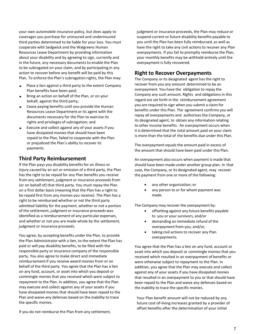your own automobile insurance policy, but does apply to coverages you purchase for uninsured and underinsured third parties determined to be liable for your loss. You must cooperate with Sedgwick and the Walgreens Human Resources Leave Department by providing information about your disability and by agreeing to sign, currently and in the future, any necessary documents to enable the Plan to be subrogated on your claim, and by participating in any action to recover before any benefit will be paid by this Plan. To enforce the Plan's subrogation rights, the Plan may:

- Place a lien against a third party to the extent Company Plan benefits have been paid;
- Bring an action on behalf of the Plan, or on your behalf, against the third party;
- Cease paying benefits until you provide the Human Resources Leave Department or its agent with the documents necessary for the Plan to exercise its rights and privileges of subrogation; and
- Execute and collect against any of your assets if you have dissipated monies that should have been repaid to the Plan, failed to cooperate with the Plan or prejudiced the Plan's ability to recover its payments.

#### **Third Party Reimbursement**

If the Plan pays you disability benefits for an illness or injury caused by an act or omission of a third party, the Plan has the right to be repaid for any Plan benefits you receive from any settlement, judgment or insurance proceeds from (or on behalf of) that third party. You must repay the Plan on a first dollar basis (meaning that the Plan has a right to be repaid first from any monies you receive). The Plan has a right to be reimbursed whether or not the third party admitted liability for the payment, whether or not a portion of the settlement, judgment or insurance proceeds was identified as a reimbursement of any particular expenses, and whether or not you are made whole by the settlement, judgment or insurance proceeds.

You agree, by accepting benefits under the Plan, to provide the Plan Administrator with a lien, to the extent the Plan has paid or will pay disability benefits, to be filed with the responsible party or insurance company of the responsible party. You also agree to make direct and immediate reimbursement if you receive award monies from or on behalf of the third party. You agree that the Plan has a lien on any fund, account, or asset into which you deposit or commingle monies that you received which were subject to repayment to the Plan. In addition, you agree that the Plan may execute and collect against any of your assets if you have dissipated monies that should have been repaid to the Plan and waive any defenses based on the inability to trace the specific monies.

If you do not reimburse the Plan from any settlement,

judgment or insurance proceeds, the Plan may reduce or suspend current or future disability benefits payable to you until the Plan has been fully reimbursed, as well as have the right to take any civil actions to recover any Plan overpayments. If you fail to promptly reimburse the Plan, your monthly benefits may be withheld entirely until the overpayment is fully recovered.

### <span id="page-9-0"></span>**Right to Recover Overpayments**

The Company or its designated agent has the right to recover from you any amount determined to be an overpayment. You have the obligation to repay the Company any such amount. Rights and obligations in this regard are set forth in the reimbursement agreement you are required to sign when you submit a claim for benefits under this Plan. The agreement confirms you will repay all overpayments and authorizes the Company, or its designated agent, to obtain any information relating to other income benefits. An overpayment occurs when it is determined that the total amount paid on your claim is more than the total of the benefits due under this Plan.

The overpayment equals the amount paid in excess of the amount that should have been paid under this Plan.

An overpayment also occurs when payment is made that should have been made under another group plan. In that case, the Company, or its designated agent, may recover the payment from one or more of the following:

- any other organization; or
- any person to or for whom payment was made.

The Company may recover the overpayment by:

- offsetting against any future benefits payable to you or your survivors, and/or
- demanding an immediate refund of the overpayment from you, and/or,
- taking civil actions to recover any Plan overpayments.

You agree that the Plan has a lien on any fund, account or asset into which you deposit or commingle monies that you received which resulted in an overpayment of benefits or were otherwise subject to repayment to the Plan. In addition, you agree that the Plan may execute and collect against any of your assets if you have dissipated monies that resulted in an overpayment to you or that should have been repaid to the Plan and waive any defenses based on the inability to trace the specific monies.

Your Plan benefit amount will not be reduced by any future cost-of-living increases granted by a provider of offset benefits after the determination of your initial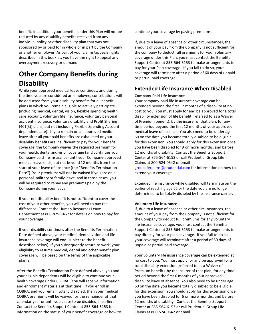benefit. In addition, your benefits under this Plan will not be reduced by any disability benefits received from any individual policy or other disability plan that was not sponsored by or paid for in whole or in part by the Company or another employer. As part of your claims/appeals rights described in this booklet, you have the right to appeal any overpayment recovery or demand.

## **Other Company Benefits during Disability**

While your approved medical leave continues, and during the time you are considered an employee, contributions will be deducted from your disability benefits for all benefit plans in which you remain eligible to actively participate (including medical, dental, vision, flexible spending health care account, voluntary life insurance, voluntary personal accident insurance, voluntary disability and Profit Sharing (401(k)) plans, but not including Flexible Spending Account dependent care). If you remain on an approved medical leave after all your paid benefits are exhausted or your disability benefits are insufficient to pay for your benefit coverage, the Company waives the required premium for your health, dental and vision coverage (and continues your Company-paid life insurance) until your Company-approved medical leave ends, but not beyond 12 months from the start of your leave of absence (the "Benefits Termination Date"). Your premiums will not be waived if you are on a personal, military or family leave, and in those cases, you will be required to repay any premiums paid by the Company during your leave.

If your net disability benefit is not sufficient to cover the cost of your other benefits, you will need to pay the difference. Contact the Human Resources Leave Department at 800-825-5467 for details on how to pay for your coverage.

If your disability continues after the Benefits Termination Date defined above, your medical, dental, vision and life insurance coverage will end (subject to the benefit described below). If you subsequently return to work, your eligibility to resume medical, dental and other benefit plan coverage will be based on the terms of the applicable plan(s).

After the Benefits Termination Date defined above, you and your eligible dependents will be eligible to continue your health coverage under COBRA. (You will receive information and enrollment materials at that time.) If you enroll in COBRA, and you remain totally disabled, then your medical COBRA premiums will be waived for the remainder of that calendar year or until you cease to be disabled, if earlier. Contact the Benefits Support Center at 855-564-6153 for information on the status of your benefit coverage or how to continue your coverage by paying premiums.

If, due to a leave of absence or other circumstances, the amount of your pay from the Company is not sufficient for the company to deduct full premiums for your voluntary coverage under this Plan, you must contact the Benefits Support Center at 855-564-6153 to make arrangements to pay for your Plan coverage. If you fail to do so, your coverage will terminate after a period of 60 days of unpaid or partial-paid coverage.

#### **Extended Life Insurance When Disabled**

#### **Company-Paid Life Insurance**

Your company-paid life insurance coverage can be extended beyond the first 12 months of a disability at no cost to you. You must apply for and be approved for a total disability extension of life benefit (referred to as a Waiver of Premium benefit), by the insurer of that plan, for any time period beyond the first 12 months of your approved medical leave of absence. You also need to be under age 60 on the date you became totally disabled to be eligible for this extension. You should apply for this extension once you have been disabled for 9 or more months, and before 12 months of disability. Contact the Benefits Support Center at 855-564-6153 or call Prudential Group Life Claims at 800-524-0542 or email [grouplifeclaims@prudential.com](mailto:grouplifeclaims@prudential.com) for information on how to

extend your coverage.

Extended life insurance while disabled will terminate on the earlier of reaching age 65 or the date you are no longer determined to be totally disabled by the insurance carrier.

#### **Voluntary Life Insurance**

If, due to a leave of absence or other circumstances, the amount of your pay from the Company is not sufficient for the Company to deduct full premiums for any voluntary life insurance coverage, you must contact the Benefits Support Center at 855-564-6153 to make arrangements to pay directly for your plan coverage. If you fail to do so, your coverage will terminate after a period of 60 days of unpaid or partial-paid coverage.

Your voluntary life insurance coverage can be extended at no cost to you. You must apply for and be approved for a total disability extension (referred to as a Waiver of Premium benefit), by the insurer of that plan, for any time period beyond the first 6 months of your approved disability leave of absence. You also need to be under age 60 on the date you became totally disabled to be eligible for this extension. You should apply for this extension once you have been disabled for 6 or more months, and before 12 months of disability. Contact the Benefits Support Center at 855-564-6153 or call Prudential Group Life Claims at 800-524-0542 or email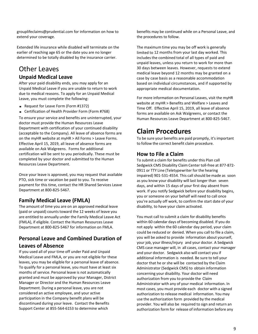grouplifeclaims@prudential.com for information on how to extend your coverage.

Extended life insurance while disabled will terminate on the earlier of reaching age 65 or the date you are no longer determined to be totally disabled by the insurance carrier.

## Other Leaves **Unpaid Medical Leave**

After your paid disability ends, you may apply for an Unpaid Medical Leave if you are unable to return to work due to medical reasons. To apply for an Unpaid Medical Leave, you must complete the following:

- Request for Leave Form (Form #1372)
- Certification of Health Provider Form (Form #768)

To ensure your service and benefits are uninterrupted, your doctor must provide the Human Resources Leave Department with certification of your continued disability (acceptable to the Company). All leave of absence forms are on the myHR website at myHR > All Forms > Leave Forms. Effective April 15, 2019, all leave of absence forms are available on Ask Walgreens. Forms for additional certification will be sent to you periodically. These must be completed by your doctor and submitted to the Human Resources Leave Department.

Once your leave is approved, you may request that available PTO, sick time or vacation be paid to you. To receive payment for this time, contact the HR Shared Services Leave Department at 800-825-5467.

#### **Family Medical Leave (FMLA)**

The amount of time you are on an approved medical leave (paid or unpaid) counts toward the 12 weeks of leave you are entitled to annually under the Family Medical Leave Act (FMLA), if eligible. Contact the Human Resources Leave Department at 800-825-5467 for information on FMLA.

### **Personal Leave and Combined Duration of Leaves of Absence**

If you used all of your time off under Paid and Unpaid Medical Leave and FMLA, or you are not eligible for these leaves, you may be eligible for a personal leave of absence. To qualify for a personal leave, you must have at least six months of service. Personal leave is not automatically granted and must be approved by your Manager, District Manager or Director and the Human Resources Leave Department. During a personal leave, you are not considered an active employee, and your active participation in the Company benefit plans will be discontinued during your leave. Contact the Benefits Support Center at 855-564-6153 to determine which

benefits may be continued while on a Personal Leave, and the procedures to follow.

The maximum time you may be off work is generally limited to 12 months from your last day worked. This includes the combined total of all types of paid and unpaid leaves, unless you return to work for more than 30 days between leaves. However, requests to extend medical leave beyond 12 months may be granted on a case by case basis as a reasonable accommodation based on individual circumstances, and if supported by appropriate medical documentation.

For more information on Personal Leaves, visit the myHR website at myHR > Benefits and Welfare > Leaves and Time Off. Effective April 15, 2019, all leave of absence forms are available on Ask Walgreens, or contact the Human Resources Leave Department at 800-825-5467.

## **Claim Procedures**

To be sure your benefits are paid promptly, it's important to follow the correct benefit claim procedure.

#### <span id="page-11-0"></span>**How to File a Claim**

To submit a claim for benefits under this Plan call Sedgwick CMS Disability Claim Center toll-free at 877-872- 0911 or TTY Line (Teletypewriter for the hearing impaired) 901-531-4554. This call should be made as soon as you know your disability will last longer than seven days, and within 15 days of your first day absent from work. If you notify Sedgwick before your disability begins, you or someone on your behalf will need to call once you're actually off work, to confirm the start date of your disability, to have your claim activated.

You must call to submit a claim for disability benefits within 60 calendar days of becoming disabled. If you do not apply within the 60 calendar day period, your claim could be reduced or denied. When you call to file a claim, you will be asked to provide information about yourself, your job, your illness/injury and your doctor. A Sedgwick CMS case manager will, in all cases, contact your manager and your doctor. Sedgwick also will contact you if additional information is needed. Be sure to tell your doctor that he or she will be contacted by the Claim Administrator (Sedgwick CMS) to obtain information concerning your disability. Your doctor will need authorization from you to provide the Claim Administrator with any of your medical information. In most cases, you must provide each doctor with a signed authorization to release medical information. You may use the authorization form provided by the medical provider. You will also be required to sign and return an authorization form for release of information before any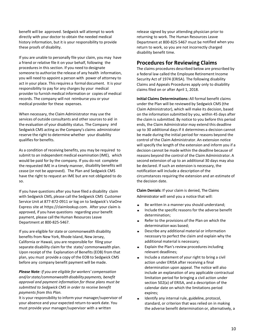benefit will be approved. Sedgwick will attempt to work directly with your doctor to obtain the needed medical history information, but it is your responsibility to provide these proofs of disability.

If you are unable to personally file your claim, you may have a friend or relative file it on your behalf, following the procedures in this section. If you need to designate someone to authorize the release of any health information, you will need to appoint a person with power of attorney to act in your place. This requires a formal document. It is your responsibility to pay for any charges by your medical provider to furnish medical information or copies of medical records. The company will not reimburse you or your medical provider for these expenses.

When necessary, the Claim Administrator may use the services of outside consultants and other sources to aid in the evaluation of your disability status. The Company and Sedgwick CMS acting as the Company's claims administrator reserve the right to determine whether your disability qualifies for benefits.

As a condition of receiving benefits, you may be required to submit to an independent medical examination (IME), which would be paid for by the company. If you do not complete the requested IME in a timely manner, disability benefits will cease (or not be approved). The Plan and Sedgwick CMS have the right to request an IME but are not obligated to do so.

If you have questions after you have filed a disability claim with Sedgwick CMS, please call the Sedgwick CMS Customer Service Unit at 877-872-0911 or log on to Sedgwick's ViaOne Express site at https://claimlookup.com. After your claim is approved, if you have questions regarding your benefit payment, please call the Human Resources Leave Department at 800-825-5467.

If you are eligible for state or commonwealth disability benefits from New York, Rhode Island, New Jersey, California or Hawaii, you are responsible for filing your separate disability claim for the state/ commonwealth plan. Upon receipt of the Explanation of Benefits(EOB) from that plan, you must provide a copy of the EOB to Sedgwick CMS before any company benefit payment will be made.

*Please Note: If you are eligible for workers' compensation and/orstate/commonwealth disability payments, benefit approval and payment information for those plans must be submitted to Sedgwick CMS in order to receive benefit payments from this Plan.*

It is your responsibility to inform your manager/supervisor of your absence and your expected return-to-work date. You must provide your manager/supervisor with a written

release signed by your attending physician prior to returning to work. The Human Resources Leave Department at 800-825-5467 must be notified when you return to work, so you are not incorrectly charged disability benefit time.

#### **Procedures for Reviewing Claims**

The claims procedures described below are prescribed by a federal law called the Employee Retirement Income Security Act of 1974 (ERISA). The following disability Claims and Appeals Procedures apply only to disability claims filed on or after April 1, 2018.

**Initial Claims Determinations:** All formal benefit claims under the Plan will be reviewed by Sedgwick CMS (the Claim Administrator), which will make its decision, based on the information submitted by you, within 45 days after the claim is submitted. By notice to you before this period ends, the Claim Administrator may extend this deadline up to 30 additional days if it determines a decision cannot be made during the initial period for reasons beyond the control of the Claim Administrator. An extension notice will specify the length of the extension and inform you if a decision cannot be made within the deadline because of reasons beyond the control of the Claim Administrator. A second extension of up to an additional 30 days may also be declared. If such an extension is necessary, the notification will include a description of the circumstances requiring the extension and an estimate of the decision date.

**Claim Denials:** If your claim is denied, The Claims Administrator will send you a notice that will:

- Be written in a manner you should understand;
- Include the specific reasons for the adverse benefit determination;
- Refer to the provisions of the Plan on which the determination was based;
- Describe any additional material or information necessary to perfect the claim and explain why the additional material is necessary;
- Explain the Plan's review procedures including relevant deadlines;
- Include a statement of your right to bring a civil action under ERISA after receiving a final determination upon appeal. The notice will also include an explanation of any applicable contractual limitation period for bringing a civil action under section 502(a) of ERISA, and a description of the calendar date on which the limitations period expires;
- Identify any internal rule, guideline, protocol, standard, or criterion that was relied on in making the adverse benefit determination or, alternatively, a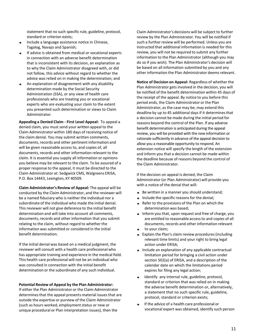statement that no such specific rule, guideline, protocol, standard or criterion exists;

- Include a language assistance notice in Chinese, Tagalog, Navajo and Spanish;
- If advice is obtained from medical or vocational experts in connection with an adverse benefit determination that is inconsistent with its decision, an explanation as to why the Claim Administrator disagreed with, or did not follow, this advice without regard to whether the advice was relied on in making the determination; and
- An explanation of disagreement with any disability determination made by the Social Security Administration (SSA), or any view of health care professionals who are treating you or vocational experts who are evaluating your claim to the extent you presented such determination or views to Claim Administrator.

**Appealing a Denied Claim - First Level Appeal:** To appeal a denied claim, you must send your written appeal to the Claim Administrator within 180 days of receiving notice of the claim denial. You may submit written comments, documents, records and other pertinent information and will be given reasonable access to, and copies of, all documents, records and other information relevant to the claim. It is essential you supply all information or opinions you believe may be relevant to the claim. To be assured of a proper response to the appeal, it must be directed to the Claim Administrator at: Sedgwick CMS, Walgreens ERISA, P.O. Box 14443, Lexington, KY 40509.

**Claim Administrator's Review of Appeal:** The appeal will be conducted by the Claim Administrator, and the reviewer will be a named fiduciary who is neither the individual nor a subordinate of the individual who made the initial denial. This reviewer will not give deference to the initial benefit determination and will take into account all comments, documents, records and other information that you submit relating to the claim, without regard to whether the information was submitted or considered in the initial benefit determination.

If the initial denial was based on a medical judgment, the reviewer will consult with a health care professional who has appropriate training and experience in the medical field. This health care professional will not be an individual who was consulted in connection with the initial benefit determination or the subordinate of any such individual.

#### **Potential Review of Appeal by the Plan Administrator:**

If either the Plan Administrator or the Claim Administrator determines that the appeal presents material issues that are outside the expertise or purview of the Claim Administrator (such as hours worked, employment status or new or unique procedural or Plan interpretation issues), then the

Claim Administrator's decisions will be subject to further review by the Plan Administrator. You will be notified if such a further review will be performed. Unless you are instructed that additional information is needed for this review, you will not be required to submit any further information to the Plan Administrator (although you may do so if you wish). The Plan Administrator's decision will be based on all information submitted by you and any other information the Plan Administrator deems relevant.

**Notice of Decision on Appeal:** Regardless of whether the Plan Administrator gets involved in the decision, you will be notified of the benefit determination within 45 days of the receipt of the appeal. By notice to you before this period ends, the Claim Administrator or the Plan Administrator, as the case may be, may extend this deadline by up to 45 additional days if it determines that a decision cannot be made during the initial period for reasons beyond the control of the Plan. If any adverse benefit determination is anticipated during the appeal review, you will be provided with the new information or rationale sufficiently in advance of the appeal decision to allow you a reasonable opportunity to respond. An extension notice will specify the length of the extension and inform you that a decision cannot be made within the deadline because of reasons beyond the control of the Claim Administrator.

If the decision on appeal is denied, the Claim Administrator (or Plan Administrator) will provide you with a notice of the denial that will:

- Be written in a manner you should understand;
- Include the specific reasons for the denial;
- Refer to the provisions of the Plan on which the determination was based;
- Inform you that, upon request and free of charge, you are entitled to reasonable access to and copies of all documents, records and other information relevant
- to your claim;
- Explain the Plan's claim review procedures (including relevant time limits) and your right to bring legal action under ERISA;
- Include an explanation of any applicable contractual limitation period for bringing a civil action under section 502(a) of ERISA, and a description of the calendar date on which the limitations period expires for filing any legal action;
- Identify any internal rule, guideline, protocol, standard or criterion that was relied on in making the adverse benefit determination or, alternatively, a statement that no such specific rule, guideline, protocol, standard or criterion exists;
- If the advice of a health care professional or vocational expert was obtained, identify such person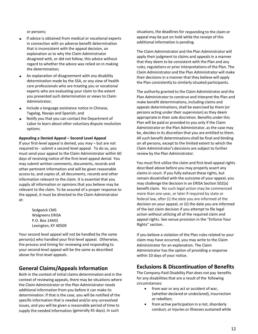or persons;

- If advice is obtained from medical or vocational experts in connection with an adverse benefit determination that is inconsistent with the appeal decision, an explanation as to why the Claim Administrator disagreed with, or did not follow, this advice without regard to whether the advice was relied on in making the determination;
- An explanation of disagreement with any disability determination made by the SSA, or any view of health care professionals who are treating you or vocational experts who are evaluating your claim to the extent you presented such determination or views to Claim Administrator;
- Include a language assistance notice in Chinese, Tagalog, Navajo and Spanish; and
- Notify you that you can contact the Department of Labor to learn about other voluntary dispute resolution options.

#### **Appealing a Denied Appeal – Second Level Appeal**

If your first-level appeal is denied, you may – but are not required to - submit a second level appeal. To do so, you must send your appeal to the Claim Administrator within 60 days of receiving notice of the first-level appeal denial. You may submit written comments, documents, records and other pertinent information and will be given reasonable access to, and copies of, all documents, records and other information relevant to the claim. It is essential that you supply all information or opinions that you believe may be relevant to the claim. To be assured of a proper response to the appeal, it must be directed to the Claim Administrator at:

> Sedgwick CMS Walgreens ERISA P.O. Box 14443 Lexington, KY 40509

Your second level appeal will not be handled by the same person(s) who handled your first-level appeal. Otherwise, the process and timing for reviewing and responding to your second-level appeal will be the same as described above for first-level appeals.

#### **General Claims/Appeals Information**

Both in the context of initial claims determination and in the context of reviewing appeals, there may be situations where the Claim Administrator or the Plan Administrator needs additional information from you before it can make its determination. If that is the case, you will be notified of the specific information that is needed and/or any unresolved issues, and you will be given a reasonable period of time to supply the needed information (generally 45 days). In such

situations, the deadlines for responding to the claim or appeal may be put on hold while the receipt of this additional information is pending.

The Claim Administrator and the Plan Administrator will apply their judgment to claims and appeals in a manner that they deem to be consistent with the Plan and any rules, regulations or prior interpretations of the Plan. The Claim Administrator and the Plan Administrator will make their decisions in a manner that they believe will apply the Plan consistently to similarly situated participants.

The authority granted to the Claim Administrator and the Plan Administrator to construe and interpret the Plan and make benefit determinations, including claims and appeals determinations, shall be exercised by them (or persons acting under their supervision) as they deem appropriate in their sole discretion. Benefits under this Plan will be paid or provided to you only if the Claim Administrator or the Plan Administrator, as the case may be, decides in its discretion that you are entitled to them. All such benefit determinations shall be final and binding on all persons, except to the limited extent to which the Claim Administrator's decisions are subject to further review by the Plan Administrator.

You must first utilize the claim and first-level appeal rights described above before you may properly assert any claims in court. If you fully exhaust these rights, but remain dissatisfied with the outcome of your appeal, you may challenge the decision in an ERISA Section 502(a) benefit claim. No such legal action may be commenced more than one year, or later if required by state or federal law, after (i) the date you are informed of the decision on your appeal, or (ii) the date you are informed of the last claim decision if you attempt to file legal action without utilizing all of the required claim and appeal rights. See venue provision in the "Enforce Your Rights" section.

If you believe a violation of the Plan rules related to your claim may have occurred, you may write to the Claim Administrator for an explanation. The Claim Administrator has the option of providing a response within 10 days of your notice.

#### **Exclusions & Discontinuation of Benefits**

The Company-Paid Disability Plan does not pay benefits for any disabilities that are a result of the following circumstances:

- from war or any act or accident of war, (whether declared or undeclared), insurrection or rebellion;
- from active participation in a riot, disorderly conduct, or injuries or illnesses sustained while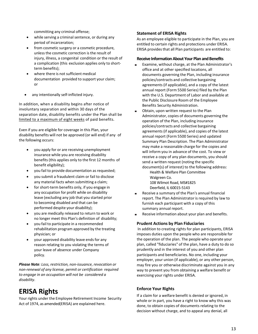committing any criminal offense;

- while serving a criminal sentence, or during any period of incarceration;
- from cosmetic surgery or a cosmetic procedure, unlessthe cosmetic correction is the result of injury, illness, a congenital condition or the result of a complication (this exclusion applies only to shortterm benefits);
- where there is not sufficient medical documentation provided to support your claim; or
- any intentionally self-inflicted injury.

In addition, when a disability begins after notice of involuntary separation and within 30 days of the separation date, disability benefits under the Plan shall be limited to a maximum of eight weeks of paid benefits.

Even if you are eligible for coverage in this Plan, your disability benefits will not be approved (or will end) if any of the following occurs:

- you apply for or are receiving unemployment insurance while you are receiving disability benefits(this applies only to the first 12 months of benefit eligibility);
- you fail to provide documentation as requested;
- you submit a fraudulent claim or fail to disclose any material facts when submitting a claim;
- for short-term benefits only, if you engage in any occupation for profit while on disability leave (excluding any job that you started prior to becoming disabled and that can be performed despite your disability);
- you are medically released to return to work or no longer meet this Plan's definition of disability;
- you fail to participate in a recommended rehabilitation program approved by the treating physician; or
- your approved disability leave ends for any reason relating to you violating the terms of your leave of absence under Company policy.

*Please Note: Loss, restriction, non-issuance, revocation or non-renewal of any license, permit or certification required to engage in an occupation will not be considered a disability*.

## **ERISA Rights**

Your rights under the Employee Retirement Income Security Act of 1974, as amended(ERISA) are explained here.

#### **Statement of ERISA Rights**

As an employee eligible to participate in the Plan, you are entitled to certain rights and protections under ERISA. ERISA provides that all Plan participants are entitled to:

#### **Receive Information About Your Plan and Benefits**

- Examine, without charge, at the Plan Administrator's office and at other specified locations, all documents governing the Plan, including insurance policies/contracts and collective bargaining agreements(if applicable), and a copy of the latest annual report (Form 5500 Series) filed by the Plan with the U.S. Department of Labor and available at the Public Disclosure Room of the Employee Benefits Security Administration.
- Obtain, upon written request to the Plan Administrator, copies of documents governing the operation of the Plan, including insurance policies/contracts and collective bargaining agreements(if applicable), and copies of the latest annual report (Form 5500 Series) and updated Summary Plan Description. The Plan Administrator may make a reasonable charge for the copies and will inform you in advance of the cost. To view or receive a copy of any plan documents, you should send a written request (noting the specific document(s) of interest) to the following address:

Health & Welfare Plan Committee Walgreen Co. 108 Wilmot Road, MS#1825 Deerfield, IL 60015-5143

- Receive a summary of the Plan's annual financial report. The Plan Administrator is required by law to furnish each participant with a copy of this summary annual report.
- Receive information about your plan and benefits.

#### **Prudent Actions by Plan Fiduciaries**

In addition to creating rights for plan participants, ERISA imposes duties upon the people who are responsible for the operation of the plan. The people who operate your plan, called "fiduciaries" of the plan, have a duty to do so prudently and in the interest of you and other plan participants and beneficiaries. No one, including your employer, your union (if applicable), or any other person, may fire you or otherwise discriminate against you in any way to prevent you from obtaining a welfare benefit or exercising your rights under ERISA.

#### **Enforce Your Rights**

If a claim for a welfare benefit is denied or ignored, in whole or in part, you have a right to know why this was done, to obtain copies of documents relating to the decision without charge, and to appeal any denial, all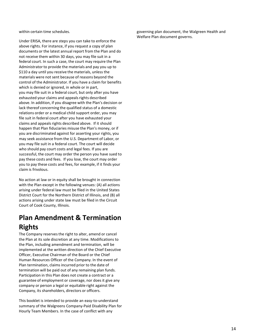within certain time schedules.

Under ERISA, there are steps you can take to enforce the above rights. For instance, if you request a copy of plan documents or the latest annual report from the Plan and do not receive them within 30 days, you may file suit in a federal court. In such a case, the court may require the Plan Administrator to provide the materials and pay you up to \$110 a day until you receive the materials, unless the materials were not sent because of reasons beyond the control of the Administrator. If you have a claim for benefits which is denied or ignored, in whole or in part, you may file suit in a federal court, but only after you have exhausted your claims and appeals rights described above. In addition, if you disagree with the Plan's decision or lack thereof concerning the qualified status of a domestic relations order or a medical child support order, you may file suit in federal court after you have exhausted your claims and appeals rights described above. If it should happen that Plan fiduciaries misuse the Plan's money, or if you are discriminated against for asserting your rights, you may seek assistance from the U.S. Department of Labor, or you may file suit in a federal court. The court will decide who should pay court costs and legal fees. If you are successful, the court may order the person you have sued to pay these costs and fees. If you lose, the court may order you to pay these costs and fees, for example, if it finds your claim is frivolous.

No action at law or in equity shall be brought in connection with the Plan except in the following venues: (A) all actions arising under federal law must be filed in the United States District Court for the Northern District of Illinois, and (B) all actions arising under state law must be filed in the Circuit Court of Cook County, Illinois.

## **Plan Amendment & Termination Rights**

The Company reserves the right to alter, amend or cancel the Plan at its sole discretion at any time. Modifications to the Plan, including amendment and termination, will be implemented at the written direction of the Chief Executive Officer, Executive Chairman of the Board or the Chief Human Resources Officer of the Company. In the event of Plan termination, claims incurred prior to the date of termination will be paid out of any remaining plan funds. Participation in this Plan does not create a contract or a guarantee of employment or coverage, nor does it give any company or person a legal or equitable right against the Company, its shareholders, directors or officers.

This booklet is intended to provide an easy-to-understand summary of the Walgreens Company-Paid Disability Plan for Hourly Team Members. In the case of conflict with any

governing plan document, the Walgreen Health and Welfare Plan document governs.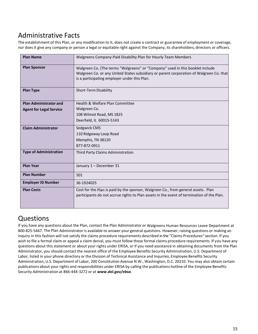## Administrative Facts

The establishment of this Plan, or any modification to it, does not create a contract or guarantee of employment or coverage, nor does it give any company or person a legal or equitable right against the Company, its shareholders, directors or officers.

| <b>Plan Name</b>               | Walgreens Company-Paid Disability Plan for Hourly Team Members                                                                                                                                                           |
|--------------------------------|--------------------------------------------------------------------------------------------------------------------------------------------------------------------------------------------------------------------------|
| <b>Plan Sponsor</b>            | Walgreen Co. (The terms "Walgreens" or "Company" used in this booklet include<br>Walgreen Co. or any United States subsidiary or parent corporation of Walgreen Co. that<br>is a participating employer under this Plan. |
| <b>Plan Type</b>               | Short-Term Disability                                                                                                                                                                                                    |
| <b>Plan Administrator and</b>  | Health & Welfare Plan Committee                                                                                                                                                                                          |
| <b>Agent for Legal Service</b> | Walgreen Co.                                                                                                                                                                                                             |
|                                | 108 Wilmot Road, MS 1825                                                                                                                                                                                                 |
|                                | Deerfield, IL 60015-5143                                                                                                                                                                                                 |
| <b>Claim Administrator</b>     | Sedgwick CMS                                                                                                                                                                                                             |
|                                | 110 Ridgeway Loop Road                                                                                                                                                                                                   |
|                                | Memphis, TN 38120                                                                                                                                                                                                        |
|                                | 877-872-0911                                                                                                                                                                                                             |
| <b>Type of Administration</b>  | Third Party Claims Administration                                                                                                                                                                                        |
| <b>Plan Year</b>               | January 1 - December 31                                                                                                                                                                                                  |
| <b>Plan Number</b>             | 501                                                                                                                                                                                                                      |
| <b>Employer ID Number</b>      | 36-1924025                                                                                                                                                                                                               |
| <b>Plan Costs</b>              | Cost for the Plan is paid by the sponsor, Walgreen Co., from general assets. Plan<br>participants do not accrue rights to Plan assets in the event of termination of the Plan.                                           |

## **Questions**

If you have any questions about the Plan, contact the Plan Administrator or Walgreens Human Resources Leave Department at 800-825-5467. The Plan Administrator is available to answer your general questions. However, raising questions or making an inquiry in this fashion will not satisfy the claims procedure requirements described in the "Claims Procedures" section. If you wish to file a formal claim or appeal a claim denial, you must follow these formal claims procedure requirements. If you have any questions about this statement or about your rights under ERISA, or if you need assistance in obtaining documents from the Plan Administrator, you should contact the nearest office of the Employee Benefits Security Administration, U.S. Department of Labor, listed in your phone directory or the Division of Technical Assistance and Inquiries, Employee Benefits Security Administration, U.S. Department of Labor, 200 Constitution Avenue N.W., Washington, D.C. 20210. You may also obtain certain publications about your rights and responsibilities under ERISA by calling the publications hotline of the Employee Benefits Security Administration at 866-444-3272 or at *[www.dol.gov/ebsa](http://www.dol.gov/ebsa)*.